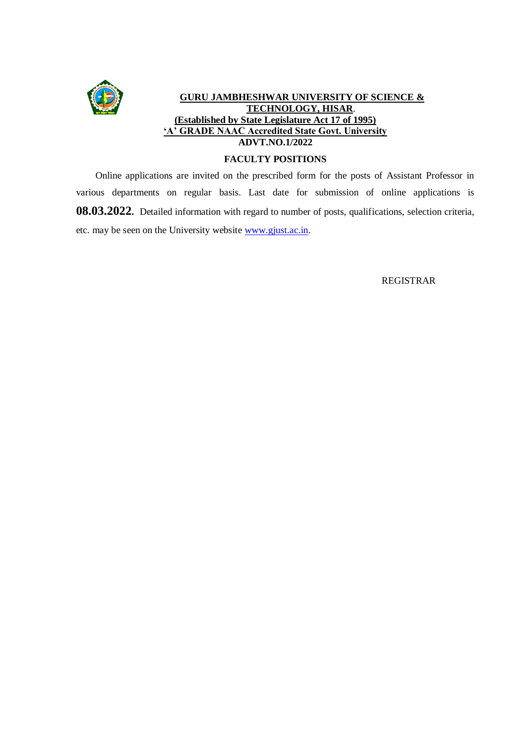

## **GURU JAMBHESHWAR UNIVERSITY OF SCIENCE & TECHNOLOGY, HISAR**. **(Established by State Legislature Act 17 of 1995) 'A' GRADE NAAC Accredited State Govt. University ADVT.NO.1/2022**

#### **FACULTY POSITIONS**

Online applications are invited on the prescribed form for the posts of Assistant Professor in various departments on regular basis. Last date for submission of online applications is **08.03.2022.** Detailed information with regard to number of posts, qualifications, selection criteria, etc. may be seen on the University website [www.gjust.ac.in.](http://www.gjust.ac.in/)

REGISTRAR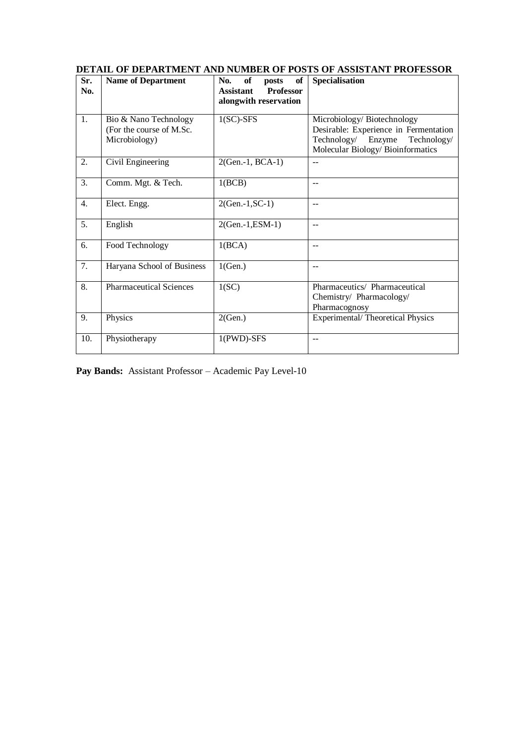| Sr.<br>No.       | <b>Name of Department</b>                                          | of<br>of<br>No.<br>posts<br><b>Assistant</b><br><b>Professor</b><br>alongwith reservation | Specialisation                                                                                                                                |
|------------------|--------------------------------------------------------------------|-------------------------------------------------------------------------------------------|-----------------------------------------------------------------------------------------------------------------------------------------------|
| 1.               | Bio & Nano Technology<br>(For the course of M.Sc.<br>Microbiology) | $1(SC)$ -SFS                                                                              | Microbiology/Biotechnology<br>Desirable: Experience in Fermentation<br>Technology/ Enzyme<br>Technology/<br>Molecular Biology/ Bioinformatics |
| $\overline{2}$ . | Civil Engineering                                                  | 2(Gen.-1, BCA-1)                                                                          |                                                                                                                                               |
| 3.               | Comm. Mgt. & Tech.                                                 | 1(BCB)                                                                                    | $\sim$ $\sim$                                                                                                                                 |
| $\overline{4}$ . | Elect. Engg.                                                       | $2(Gen.-1, SC-1)$                                                                         |                                                                                                                                               |
| 5.               | English                                                            | 2(Gen.-1, ESM-1)                                                                          | $\sim$                                                                                                                                        |
| 6.               | Food Technology                                                    | 1(BCA)                                                                                    | $ -$                                                                                                                                          |
| 7.               | Haryana School of Business                                         | 1(Gen.)                                                                                   | $-$                                                                                                                                           |
| 8.               | <b>Pharmaceutical Sciences</b>                                     | 1(SC)                                                                                     | Pharmaceutics/ Pharmaceutical<br>Chemistry/ Pharmacology/<br>Pharmacognosy                                                                    |
| 9.               | Physics                                                            | 2(Gen.)                                                                                   | Experimental/Theoretical Physics                                                                                                              |
| 10.              | Physiotherapy                                                      | 1(PWD)-SFS                                                                                |                                                                                                                                               |

**DETAIL OF DEPARTMENT AND NUMBER OF POSTS OF ASSISTANT PROFESSOR** 

Pay Bands: Assistant Professor – Academic Pay Level-10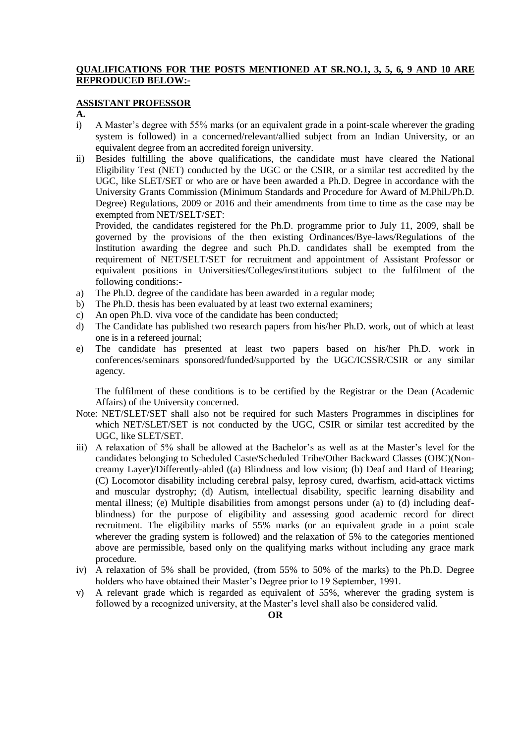#### **QUALIFICATIONS FOR THE POSTS MENTIONED AT SR.NO.1, 3, 5, 6, 9 AND 10 ARE REPRODUCED BELOW:-**

#### **ASSISTANT PROFESSOR**

#### **A.**

- i) A Master's degree with 55% marks (or an equivalent grade in a point-scale wherever the grading system is followed) in a concerned/relevant/allied subject from an Indian University, or an equivalent degree from an accredited foreign university.
- ii) Besides fulfilling the above qualifications, the candidate must have cleared the National Eligibility Test (NET) conducted by the UGC or the CSIR, or a similar test accredited by the UGC, like SLET/SET or who are or have been awarded a Ph.D. Degree in accordance with the University Grants Commission (Minimum Standards and Procedure for Award of M.Phil./Ph.D. Degree) Regulations, 2009 or 2016 and their amendments from time to time as the case may be exempted from NET/SELT/SET:

Provided, the candidates registered for the Ph.D. programme prior to July 11, 2009, shall be governed by the provisions of the then existing Ordinances/Bye-laws/Regulations of the Institution awarding the degree and such Ph.D. candidates shall be exempted from the requirement of NET/SELT/SET for recruitment and appointment of Assistant Professor or equivalent positions in Universities/Colleges/institutions subject to the fulfilment of the following conditions:-

- a) The Ph.D. degree of the candidate has been awarded in a regular mode;
- b) The Ph.D. thesis has been evaluated by at least two external examiners;
- c) An open Ph.D. viva voce of the candidate has been conducted;
- d) The Candidate has published two research papers from his/her Ph.D. work, out of which at least one is in a refereed journal;
- e) The candidate has presented at least two papers based on his/her Ph.D. work in conferences/seminars sponsored/funded/supported by the UGC/ICSSR/CSIR or any similar agency.

The fulfilment of these conditions is to be certified by the Registrar or the Dean (Academic Affairs) of the University concerned.

- Note: NET/SLET/SET shall also not be required for such Masters Programmes in disciplines for which NET/SLET/SET is not conducted by the UGC, CSIR or similar test accredited by the UGC, like SLET/SET.
- iii) A relaxation of 5% shall be allowed at the Bachelor's as well as at the Master's level for the candidates belonging to Scheduled Caste/Scheduled Tribe/Other Backward Classes (OBC)(Noncreamy Layer)/Differently-abled ((a) Blindness and low vision; (b) Deaf and Hard of Hearing; (C) Locomotor disability including cerebral palsy, leprosy cured, dwarfism, acid-attack victims and muscular dystrophy; (d) Autism, intellectual disability, specific learning disability and mental illness; (e) Multiple disabilities from amongst persons under (a) to (d) including deafblindness) for the purpose of eligibility and assessing good academic record for direct recruitment. The eligibility marks of 55% marks (or an equivalent grade in a point scale wherever the grading system is followed) and the relaxation of 5% to the categories mentioned above are permissible, based only on the qualifying marks without including any grace mark procedure.
- iv) A relaxation of 5% shall be provided, (from 55% to 50% of the marks) to the Ph.D. Degree holders who have obtained their Master's Degree prior to 19 September, 1991.
- v) A relevant grade which is regarded as equivalent of 55%, wherever the grading system is followed by a recognized university, at the Master's level shall also be considered valid.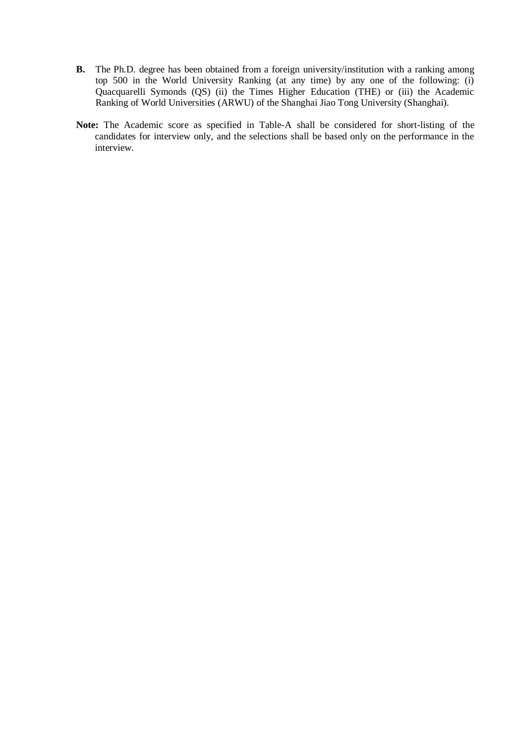- **B.** The Ph.D. degree has been obtained from a foreign university/institution with a ranking among top 500 in the World University Ranking (at any time) by any one of the following: (i) Quacquarelli Symonds (QS) (ii) the Times Higher Education (THE) or (iii) the Academic Ranking of World Universities (ARWU) of the Shanghai Jiao Tong University (Shanghai).
- **Note:** The Academic score as specified in Table-A shall be considered for short-listing of the candidates for interview only, and the selections shall be based only on the performance in the interview.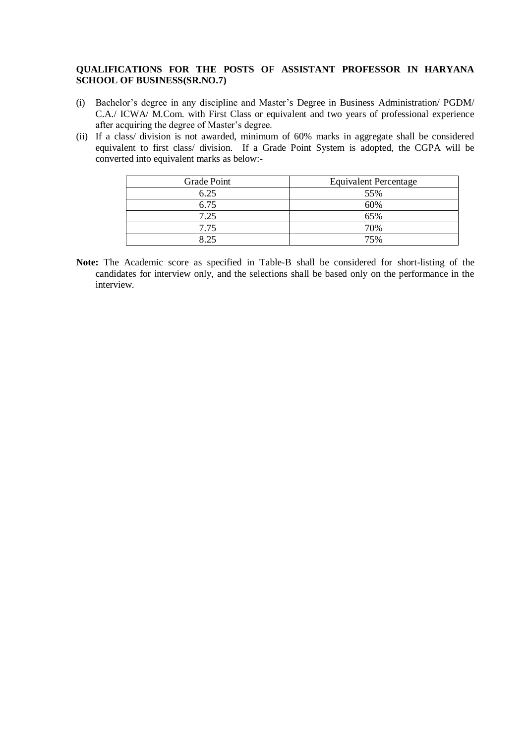#### **QUALIFICATIONS FOR THE POSTS OF ASSISTANT PROFESSOR IN HARYANA SCHOOL OF BUSINESS(SR.NO.7)**

- (i) Bachelor's degree in any discipline and Master's Degree in Business Administration/ PGDM/ C.A./ ICWA/ M.Com. with First Class or equivalent and two years of professional experience after acquiring the degree of Master's degree.
- (ii) If a class/ division is not awarded, minimum of 60% marks in aggregate shall be considered equivalent to first class/ division. If a Grade Point System is adopted, the CGPA will be converted into equivalent marks as below:-

| Grade Point | <b>Equivalent Percentage</b> |  |  |  |  |
|-------------|------------------------------|--|--|--|--|
| 6.25        | 55%                          |  |  |  |  |
| 6.75        | 60%                          |  |  |  |  |
| 7.25        | 65%                          |  |  |  |  |
| 7.75        | 70%                          |  |  |  |  |
| 8 25        | 75%                          |  |  |  |  |

**Note:** The Academic score as specified in Table-B shall be considered for short-listing of the candidates for interview only, and the selections shall be based only on the performance in the interview.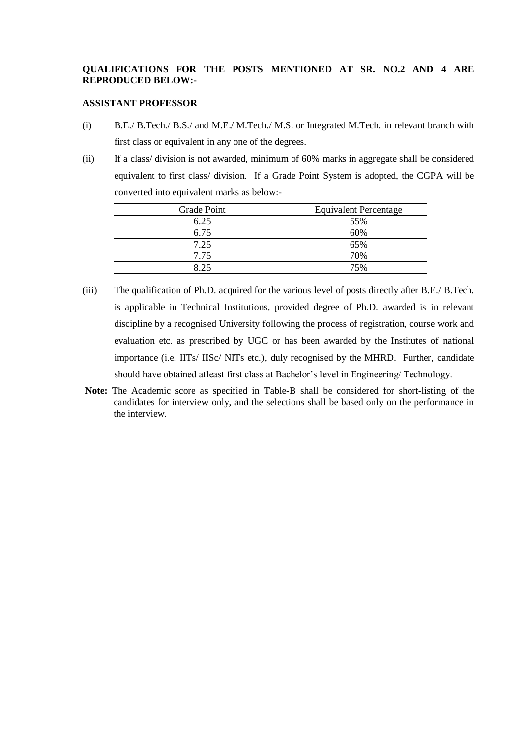## **QUALIFICATIONS FOR THE POSTS MENTIONED AT SR. NO.2 AND 4 ARE REPRODUCED BELOW:-**

#### **ASSISTANT PROFESSOR**

- (i) B.E./ B.Tech./ B.S./ and M.E./ M.Tech./ M.S. or Integrated M.Tech. in relevant branch with first class or equivalent in any one of the degrees.
- (ii) If a class/ division is not awarded, minimum of 60% marks in aggregate shall be considered equivalent to first class/ division. If a Grade Point System is adopted, the CGPA will be converted into equivalent marks as below:-

| Grade Point | <b>Equivalent Percentage</b> |  |  |  |  |
|-------------|------------------------------|--|--|--|--|
| 6.25        | 55%                          |  |  |  |  |
| 6.75        | 60%                          |  |  |  |  |
| 7.25        | 65%                          |  |  |  |  |
| 7.75        | 70%                          |  |  |  |  |
| 8 25        | 75%                          |  |  |  |  |

- (iii) The qualification of Ph.D. acquired for the various level of posts directly after B.E./ B.Tech. is applicable in Technical Institutions, provided degree of Ph.D. awarded is in relevant discipline by a recognised University following the process of registration, course work and evaluation etc. as prescribed by UGC or has been awarded by the Institutes of national importance (i.e. IITs/ IISc/ NITs etc.), duly recognised by the MHRD. Further, candidate should have obtained atleast first class at Bachelor's level in Engineering/ Technology.
- **Note:** The Academic score as specified in Table-B shall be considered for short-listing of the candidates for interview only, and the selections shall be based only on the performance in the interview.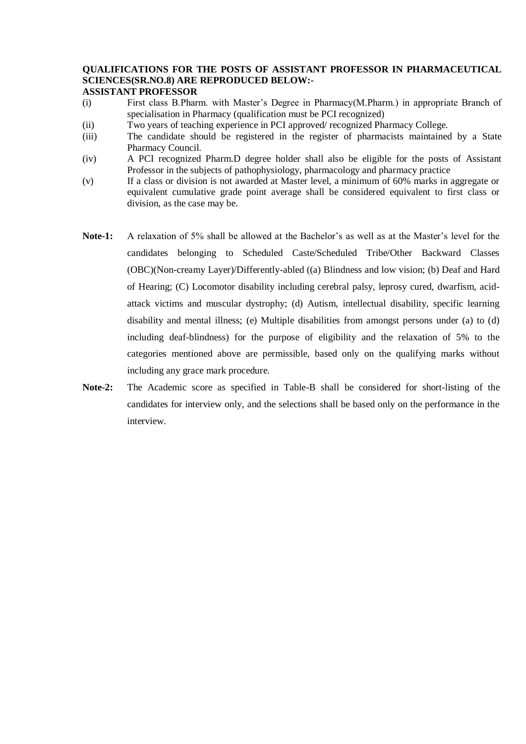# **QUALIFICATIONS FOR THE POSTS OF ASSISTANT PROFESSOR IN PHARMACEUTICAL SCIENCES(SR.NO.8) ARE REPRODUCED BELOW:-**

## **ASSISTANT PROFESSOR**

- (i) First class B.Pharm. with Master's Degree in Pharmacy(M.Pharm.) in appropriate Branch of specialisation in Pharmacy (qualification must be PCI recognized)
- (ii) Two years of teaching experience in PCI approved/ recognized Pharmacy College.
- (iii) The candidate should be registered in the register of pharmacists maintained by a State Pharmacy Council.
- (iv) A PCI recognized Pharm.D degree holder shall also be eligible for the posts of Assistant Professor in the subjects of pathophysiology, pharmacology and pharmacy practice
- (v) If a class or division is not awarded at Master level, a minimum of 60% marks in aggregate or equivalent cumulative grade point average shall be considered equivalent to first class or division, as the case may be.
- **Note-1:** A relaxation of 5% shall be allowed at the Bachelor's as well as at the Master's level for the candidates belonging to Scheduled Caste/Scheduled Tribe/Other Backward Classes (OBC)(Non-creamy Layer)/Differently-abled ((a) Blindness and low vision; (b) Deaf and Hard of Hearing; (C) Locomotor disability including cerebral palsy, leprosy cured, dwarfism, acidattack victims and muscular dystrophy; (d) Autism, intellectual disability, specific learning disability and mental illness; (e) Multiple disabilities from amongst persons under (a) to (d) including deaf-blindness) for the purpose of eligibility and the relaxation of 5% to the categories mentioned above are permissible, based only on the qualifying marks without including any grace mark procedure.
- **Note-2:** The Academic score as specified in Table-B shall be considered for short-listing of the candidates for interview only, and the selections shall be based only on the performance in the interview.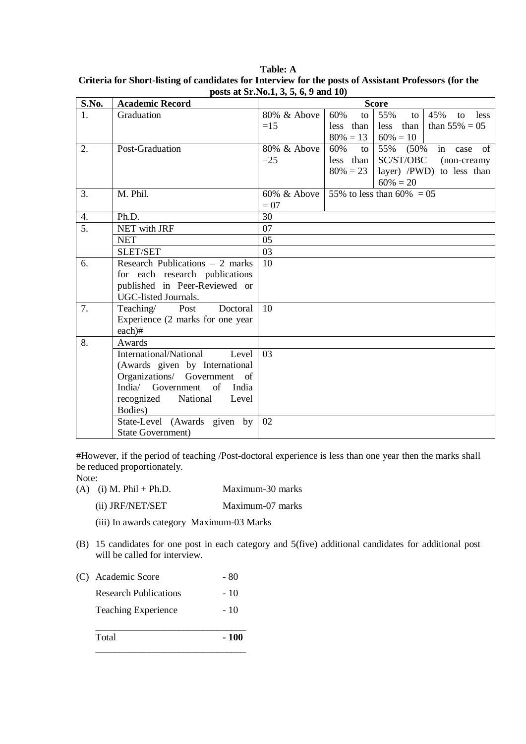| S.No.            | <b>Academic Record</b>                                                                                                                                                              | <b>Score</b>          |                                       |                                                                                                 |  |  |  |
|------------------|-------------------------------------------------------------------------------------------------------------------------------------------------------------------------------------|-----------------------|---------------------------------------|-------------------------------------------------------------------------------------------------|--|--|--|
| 1.               | Graduation                                                                                                                                                                          | 80% & Above<br>$=15$  | 60%<br>to<br>less than<br>$80\% = 13$ | 55%<br>45%<br>less<br>to<br>to<br>than<br>than $55\% = 05$<br>less<br>$60\% = 10$               |  |  |  |
| 2.               | Post-Graduation                                                                                                                                                                     | 80% & Above<br>$=25$  | 60%<br>to<br>less than<br>$80\% = 23$ | in case of<br>55% (50%)<br>SC/ST/OBC<br>(non-creamy<br>layer) /PWD) to less than<br>$60\% = 20$ |  |  |  |
| 3.               | M. Phil.                                                                                                                                                                            | 60% & Above<br>$= 07$ |                                       | 55% to less than 60% = 05                                                                       |  |  |  |
| 4.               | Ph.D.                                                                                                                                                                               | 30                    |                                       |                                                                                                 |  |  |  |
| $\overline{5}$ . | NET with JRF                                                                                                                                                                        | 07                    |                                       |                                                                                                 |  |  |  |
|                  | <b>NET</b>                                                                                                                                                                          | 05                    |                                       |                                                                                                 |  |  |  |
|                  | <b>SLET/SET</b>                                                                                                                                                                     | 03                    |                                       |                                                                                                 |  |  |  |
| 6.               | Research Publications $-2$ marks<br>for each research publications<br>published in Peer-Reviewed or<br>UGC-listed Journals.                                                         | 10                    |                                       |                                                                                                 |  |  |  |
| 7.               | Teaching/<br>Post<br>Doctoral<br>Experience (2 marks for one year<br>each)#                                                                                                         | 10                    |                                       |                                                                                                 |  |  |  |
| 8.               | Awards                                                                                                                                                                              |                       |                                       |                                                                                                 |  |  |  |
|                  | International/National<br>Level<br>(Awards given by International<br>Organizations/ Government of<br>of<br>India/ Government<br>India<br>recognized<br>National<br>Level<br>Bodies) | 03                    |                                       |                                                                                                 |  |  |  |
|                  | State-Level (Awards given by<br><b>State Government</b> )                                                                                                                           | 02                    |                                       |                                                                                                 |  |  |  |

**Table: A Criteria for Short-listing of candidates for Interview for the posts of Assistant Professors (for the posts at Sr.No.1, 3, 5, 6, 9 and 10)**

#However, if the period of teaching /Post-doctoral experience is less than one year then the marks shall be reduced proportionately.

- Note:
- (A) (i) M. Phil + Ph.D. Maximum-30 marks
	- (ii) JRF/NET/SET Maximum-07 marks
	- (iii) In awards category Maximum-03 Marks
- (B) 15 candidates for one post in each category and 5(five) additional candidates for additional post will be called for interview.
- (C) Academic Score 80
	- Research Publications 10 Teaching Experience - 10 \_\_\_\_\_\_\_\_\_\_\_\_\_\_\_\_\_\_\_\_\_\_\_\_\_\_\_\_\_\_\_
		- Total **- 100** \_\_\_\_\_\_\_\_\_\_\_\_\_\_\_\_\_\_\_\_\_\_\_\_\_\_\_\_\_\_\_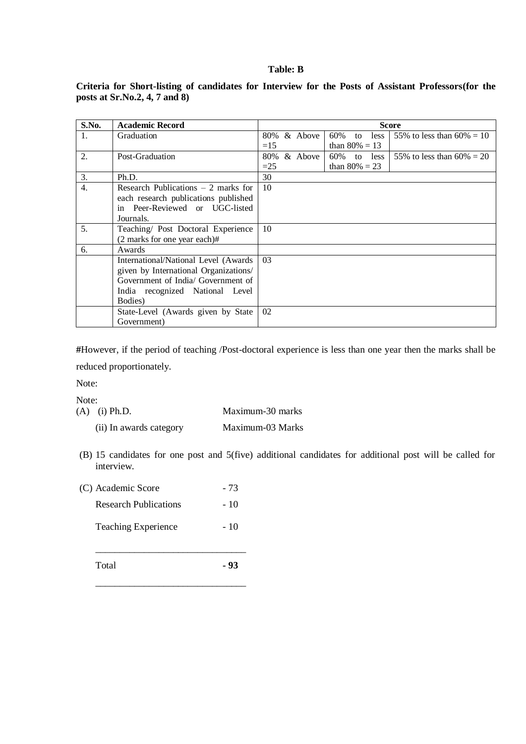#### **Table: B**

## **Criteria for Short-listing of candidates for Interview for the Posts of Assistant Professors(for the posts at Sr.No.2, 4, 7 and 8)**

| S.No.            | <b>Academic Record</b>                | <b>Score</b> |  |         |                  |    |      |                                     |
|------------------|---------------------------------------|--------------|--|---------|------------------|----|------|-------------------------------------|
| 1.               | Graduation                            | 80%          |  | & Above | 60%              | to | less | 55% to less than $60\% = 10$        |
|                  |                                       | $=15$        |  |         | than $80\% = 13$ |    |      |                                     |
| $\overline{2}$ . | Post-Graduation                       | 80%          |  | & Above | 60%              | to |      | less 1 55% to less than $60\% = 20$ |
|                  |                                       | $=25$        |  |         | than $80\% = 23$ |    |      |                                     |
| 3.               | Ph.D.                                 | 30           |  |         |                  |    |      |                                     |
| $\overline{4}$ . | Research Publications $-2$ marks for  | 10           |  |         |                  |    |      |                                     |
|                  | each research publications published  |              |  |         |                  |    |      |                                     |
|                  | in Peer-Reviewed or UGC-listed        |              |  |         |                  |    |      |                                     |
|                  | Journals.                             |              |  |         |                  |    |      |                                     |
| 5.               | Teaching/ Post Doctoral Experience    | 10           |  |         |                  |    |      |                                     |
|                  | (2 marks for one year each)#          |              |  |         |                  |    |      |                                     |
| 6.               | Awards                                |              |  |         |                  |    |      |                                     |
|                  | International/National Level (Awards  | 03           |  |         |                  |    |      |                                     |
|                  | given by International Organizations/ |              |  |         |                  |    |      |                                     |
|                  | Government of India/ Government of    |              |  |         |                  |    |      |                                     |
|                  | India recognized National Level       |              |  |         |                  |    |      |                                     |
|                  | Bodies)                               |              |  |         |                  |    |      |                                     |
|                  | State-Level (Awards given by State    | 02           |  |         |                  |    |      |                                     |
|                  | Government)                           |              |  |         |                  |    |      |                                     |

**#**However, if the period of teaching /Post-doctoral experience is less than one year then the marks shall be reduced proportionately.

Note:

Note: (A) (i) Ph.D. Maximum-30 marks (ii) In awards category Maximum-03 Marks

(B) 15 candidates for one post and 5(five) additional candidates for additional post will be called for interview.

| Total                        | - 93 |
|------------------------------|------|
| <b>Teaching Experience</b>   | - 10 |
| <b>Research Publications</b> | - 10 |
| (C) Academic Score           | - 73 |

\_\_\_\_\_\_\_\_\_\_\_\_\_\_\_\_\_\_\_\_\_\_\_\_\_\_\_\_\_\_\_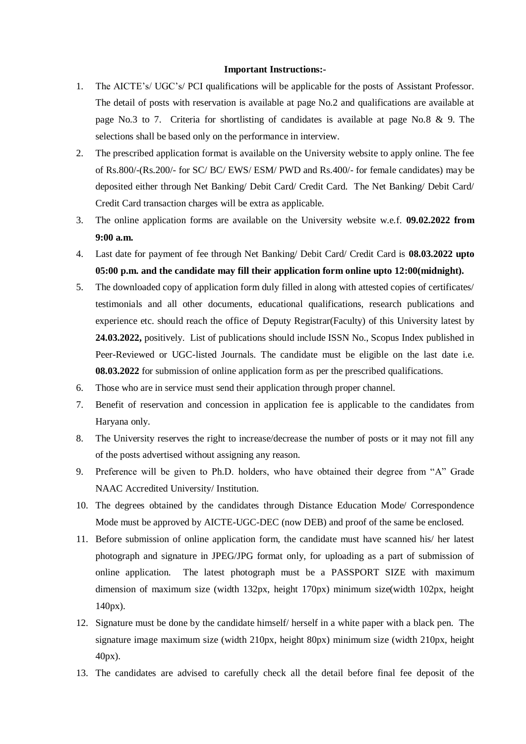#### **Important Instructions:-**

- 1. The AICTE's/ UGC's/ PCI qualifications will be applicable for the posts of Assistant Professor. The detail of posts with reservation is available at page No.2 and qualifications are available at page No.3 to 7. Criteria for shortlisting of candidates is available at page No.8 & 9. The selections shall be based only on the performance in interview.
- 2. The prescribed application format is available on the University website to apply online. The fee of Rs.800/-(Rs.200/- for SC/ BC/ EWS/ ESM/ PWD and Rs.400/- for female candidates) may be deposited either through Net Banking/ Debit Card/ Credit Card. The Net Banking/ Debit Card/ Credit Card transaction charges will be extra as applicable.
- 3. The online application forms are available on the University website w.e.f. **09.02.2022 from 9:00 a.m.**
- 4. Last date for payment of fee through Net Banking/ Debit Card/ Credit Card is **08.03.2022 upto 05:00 p.m. and the candidate may fill their application form online upto 12:00(midnight).**
- 5. The downloaded copy of application form duly filled in along with attested copies of certificates/ testimonials and all other documents, educational qualifications, research publications and experience etc. should reach the office of Deputy Registrar(Faculty) of this University latest by **24.03.2022,** positively. List of publications should include ISSN No., Scopus Index published in Peer-Reviewed or UGC-listed Journals. The candidate must be eligible on the last date i.e. **08.03.2022** for submission of online application form as per the prescribed qualifications.
- 6. Those who are in service must send their application through proper channel.
- 7. Benefit of reservation and concession in application fee is applicable to the candidates from Haryana only.
- 8. The University reserves the right to increase/decrease the number of posts or it may not fill any of the posts advertised without assigning any reason.
- 9. Preference will be given to Ph.D. holders, who have obtained their degree from "A" Grade NAAC Accredited University/ Institution.
- 10. The degrees obtained by the candidates through Distance Education Mode/ Correspondence Mode must be approved by AICTE-UGC-DEC (now DEB) and proof of the same be enclosed.
- 11. Before submission of online application form, the candidate must have scanned his/ her latest photograph and signature in JPEG/JPG format only, for uploading as a part of submission of online application. The latest photograph must be a PASSPORT SIZE with maximum dimension of maximum size (width 132px, height 170px) minimum size(width 102px, height 140px).
- 12. Signature must be done by the candidate himself/ herself in a white paper with a black pen. The signature image maximum size (width 210px, height 80px) minimum size (width 210px, height 40px).
- 13. The candidates are advised to carefully check all the detail before final fee deposit of the